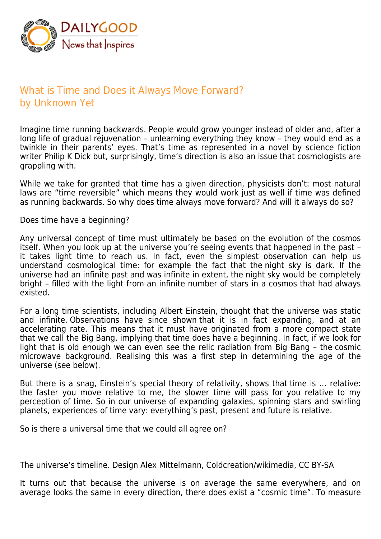

## What is Time and Does it Always Move Forward? by Unknown Yet

Imagine time running backwards. People would grow younger instead of older and, after a long life of gradual rejuvenation - unlearning everything they know - they would end as a twinkle in their parents' eyes. That's time as represented in a novel by science fiction writer Philip K Dick but, surprisingly, time's direction is also an issue that cosmologists are grappling with.

While we take for granted that time has a given direction, physicists don't: most natural laws are "time reversible" which means they would work just as well if time was defined as running backwards. So why does time always move forward? And will it always do so?

Does time have a beginning?

Any universal concept of time must ultimately be based on the evolution of the cosmos itself. When you look up at the universe you're seeing events that happened in the past – it takes light time to reach us. In fact, even the simplest observation can help us understand cosmological time: for example the fact that the night sky is dark. If the universe had an infinite past and was infinite in extent, the night sky would be completely bright – filled with the light from an infinite number of stars in a cosmos that had always existed.

For a long time scientists, including Albert Einstein, thought that the universe was static and infinite. Observations have since shown that it is in fact expanding, and at an accelerating rate. This means that it must have originated from a more compact state that we call the Big Bang, implying that time does have a beginning. In fact, if we look for light that is old enough we can even see the relic radiation from Big Bang – the cosmic microwave background. Realising this was a first step in determining the age of the universe (see below).

But there is a snag, Einstein's special theory of relativity, shows that time is … relative: the faster you move relative to me, the slower time will pass for you relative to my perception of time. So in our universe of expanding galaxies, spinning stars and swirling planets, experiences of time vary: everything's past, present and future is relative.

So is there a universal time that we could all agree on?

The universe's timeline. Design Alex Mittelmann, Coldcreation/wikimedia, CC BY-SA

It turns out that because the universe is on average the same everywhere, and on average looks the same in every direction, there does exist a "cosmic time". To measure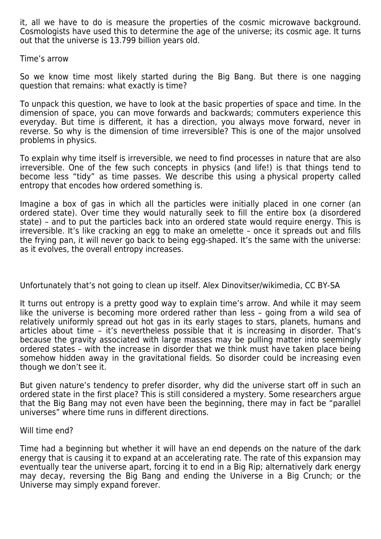it, all we have to do is measure the properties of the cosmic microwave background. Cosmologists have used this to determine the age of the universe; its cosmic age. It turns out that the universe is 13.799 billion years old.

Time's arrow

So we know time most likely started during the Big Bang. But there is one nagging question that remains: what exactly is time?

To unpack this question, we have to look at the basic properties of space and time. In the dimension of space, you can move forwards and backwards; commuters experience this everyday. But time is different, it has a direction, you always move forward, never in reverse. So why is the dimension of time irreversible? This is one of the major unsolved problems in physics.

To explain why time itself is irreversible, we need to find processes in nature that are also irreversible. One of the few such concepts in physics (and life!) is that things tend to become less "tidy" as time passes. We describe this using a physical property called entropy that encodes how ordered something is.

Imagine a box of gas in which all the particles were initially placed in one corner (an ordered state). Over time they would naturally seek to fill the entire box (a disordered state) – and to put the particles back into an ordered state would require energy. This is irreversible. It's like cracking an egg to make an omelette – once it spreads out and fills the frying pan, it will never go back to being egg-shaped. It's the same with the universe: as it evolves, the overall entropy increases.

Unfortunately that's not going to clean up itself. Alex Dinovitser/wikimedia, CC BY-SA

It turns out entropy is a pretty good way to explain time's arrow. And while it may seem like the universe is becoming more ordered rather than less – going from a wild sea of relatively uniformly spread out hot gas in its early stages to stars, planets, humans and articles about time – it's nevertheless possible that it is increasing in disorder. That's because the gravity associated with large masses may be pulling matter into seemingly ordered states – with the increase in disorder that we think must have taken place being somehow hidden away in the gravitational fields. So disorder could be increasing even though we don't see it.

But given nature's tendency to prefer disorder, why did the universe start off in such an ordered state in the first place? This is still considered a mystery. Some researchers argue that the Big Bang may not even have been the beginning, there may in fact be "parallel universes" where time runs in different directions.

Will time end?

Time had a beginning but whether it will have an end depends on the nature of the dark energy that is causing it to expand at an accelerating rate. The rate of this expansion may eventually tear the universe apart, forcing it to end in a Big Rip; alternatively dark energy may decay, reversing the Big Bang and ending the Universe in a Big Crunch; or the Universe may simply expand forever.